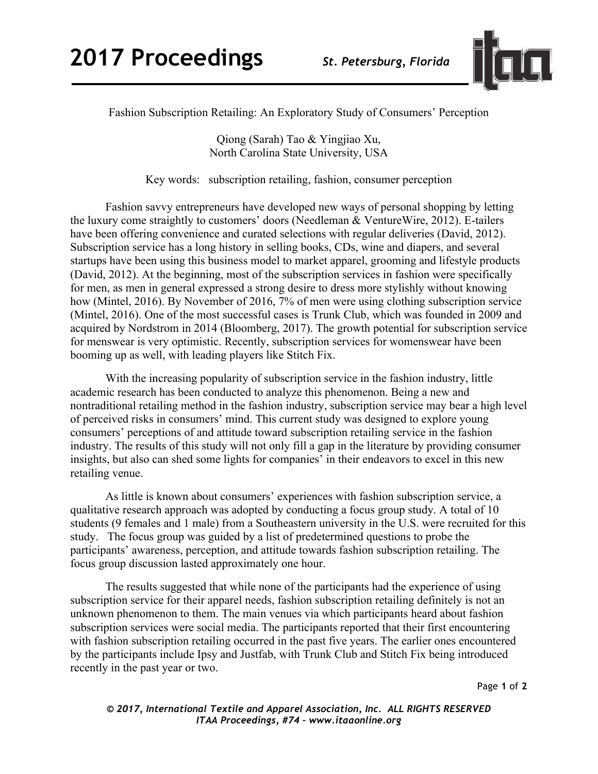

Fashion Subscription Retailing: An Exploratory Study of Consumers' Perception

Qiong (Sarah) Tao & Yingjiao Xu, North Carolina State University, USA

Key words: subscription retailing, fashion, consumer perception

Fashion savvy entrepreneurs have developed new ways of personal shopping by letting the luxury come straightly to customers' doors (Needleman & VentureWire, 2012). E-tailers have been offering convenience and curated selections with regular deliveries (David, 2012). Subscription service has a long history in selling books, CDs, wine and diapers, and several startups have been using this business model to market apparel, grooming and lifestyle products (David, 2012). At the beginning, most of the subscription services in fashion were specifically for men, as men in general expressed a strong desire to dress more stylishly without knowing how (Mintel, 2016). By November of 2016, 7% of men were using clothing subscription service (Mintel, 2016). One of the most successful cases is Trunk Club, which was founded in 2009 and acquired by Nordstrom in 2014 (Bloomberg, 2017). The growth potential for subscription service for menswear is very optimistic. Recently, subscription services for womenswear have been booming up as well, with leading players like Stitch Fix.

With the increasing popularity of subscription service in the fashion industry, little academic research has been conducted to analyze this phenomenon. Being a new and nontraditional retailing method in the fashion industry, subscription service may bear a high level of perceived risks in consumers' mind. This current study was designed to explore young consumers' perceptions of and attitude toward subscription retailing service in the fashion industry. The results of this study will not only fill a gap in the literature by providing consumer insights, but also can shed some lights for companies' in their endeavors to excel in this new retailing venue.

As little is known about consumers' experiences with fashion subscription service, a qualitative research approach was adopted by conducting a focus group study. A total of 10 students (9 females and 1 male) from a Southeastern university in the U.S. were recruited for this study. The focus group was guided by a list of predetermined questions to probe the participants' awareness, perception, and attitude towards fashion subscription retailing. The focus group discussion lasted approximately one hour.

The results suggested that while none of the participants had the experience of using subscription service for their apparel needs, fashion subscription retailing definitely is not an unknown phenomenon to them. The main venues via which participants heard about fashion subscription services were social media. The participants reported that their first encountering with fashion subscription retailing occurred in the past five years. The earlier ones encountered by the participants include Ipsy and Justfab, with Trunk Club and Stitch Fix being introduced recently in the past year or two.

Page **1** of **2**

*© 2017, International Textile and Apparel Association, Inc. ALL RIGHTS RESERVED ITAA Proceedings, #74 – www.itaaonline.org*